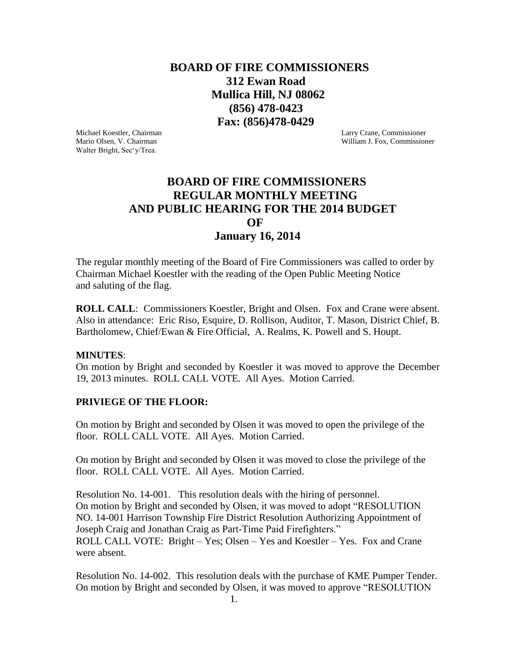# **BOARD OF FIRE COMMISSIONERS 312 Ewan Road Mullica Hill, NJ 08062 (856) 478-0423 Fax: (856)478-0429**

Michael Koestler, Chairman Larry Crane, Commissioner Walter Bright, Sec'y/Trea.

Mario Olsen, V. Chairman William J. Fox, Commissioner

# **BOARD OF FIRE COMMISSIONERS REGULAR MONTHLY MEETING AND PUBLIC HEARING FOR THE 2014 BUDGET** *OF*  **January 16, 2014**

The regular monthly meeting of the Board of Fire Commissioners was called to order by Chairman Michael Koestler with the reading of the Open Public Meeting Notice and saluting of the flag.

**ROLL CALL**: Commissioners Koestler, Bright and Olsen. Fox and Crane were absent. Also in attendance: Eric Riso, Esquire, D. Rollison, Auditor, T. Mason, District Chief, B. Bartholomew, Chief/Ewan & Fire Official, A. Realms, K. Powell and S. Houpt.

#### **MINUTES**:

On motion by Bright and seconded by Koestler it was moved to approve the December 19, 2013 minutes. ROLL CALL VOTE. All Ayes. Motion Carried.

#### **PRIVIEGE OF THE FLOOR:**

On motion by Bright and seconded by Olsen it was moved to open the privilege of the floor. ROLL CALL VOTE. All Ayes. Motion Carried.

On motion by Bright and seconded by Olsen it was moved to close the privilege of the floor. ROLL CALL VOTE. All Ayes. Motion Carried.

Resolution No. 14-001. This resolution deals with the hiring of personnel. On motion by Bright and seconded by Olsen, it was moved to adopt "RESOLUTION NO. 14-001 Harrison Township Fire District Resolution Authorizing Appointment of Joseph Craig and Jonathan Craig as Part-Time Paid Firefighters." ROLL CALL VOTE: Bright – Yes; Olsen – Yes and Koestler – Yes. Fox and Crane were absent.

Resolution No. 14-002. This resolution deals with the purchase of KME Pumper Tender. On motion by Bright and seconded by Olsen, it was moved to approve "RESOLUTION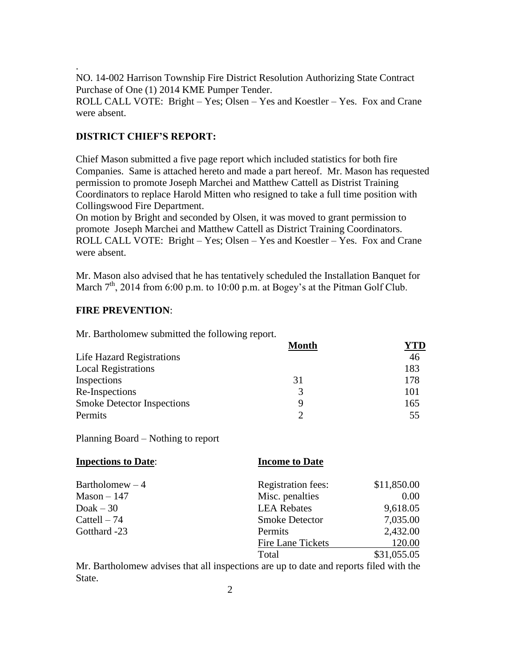NO. 14-002 Harrison Township Fire District Resolution Authorizing State Contract Purchase of One (1) 2014 KME Pumper Tender.

ROLL CALL VOTE: Bright – Yes; Olsen – Yes and Koestler – Yes. Fox and Crane were absent.

#### **DISTRICT CHIEF'S REPORT:**

.

Chief Mason submitted a five page report which included statistics for both fire Companies. Same is attached hereto and made a part hereof. Mr. Mason has requested permission to promote Joseph Marchei and Matthew Cattell as Distrist Training Coordinators to replace Harold Mitten who resigned to take a full time position with Collingswood Fire Department.

On motion by Bright and seconded by Olsen, it was moved to grant permission to promote Joseph Marchei and Matthew Cattell as District Training Coordinators. ROLL CALL VOTE: Bright – Yes; Olsen – Yes and Koestler – Yes. Fox and Crane were absent.

Mr. Mason also advised that he has tentatively scheduled the Installation Banquet for March  $7<sup>th</sup>$ , 2014 from 6:00 p.m. to 10:00 p.m. at Bogey's at the Pitman Golf Club.

#### **FIRE PREVENTION**:

Mr. Bartholomew submitted the following report.

|                                   | <b>Month</b> | <sup>7</sup> TD |
|-----------------------------------|--------------|-----------------|
| Life Hazard Registrations         |              | 46              |
| <b>Local Registrations</b>        |              | 183             |
| Inspections                       | 31           | 178             |
| Re-Inspections                    | 3            | 101             |
| <b>Smoke Detector Inspections</b> | Q            | 165             |
| Permits                           | ∍            | 55              |

Planning Board – Nothing to report

| <b>Inpections to Date:</b> | <b>Income to Date</b>     |             |
|----------------------------|---------------------------|-------------|
| Bartholomew $-4$           | <b>Registration fees:</b> | \$11,850.00 |
| $Mason - 147$              | Misc. penalties           | 0.00        |
| Doak $-30$                 | <b>LEA</b> Rebates        | 9,618.05    |
| Cattell $-74$              | <b>Smoke Detector</b>     | 7,035.00    |
| Gotthard -23               | Permits                   | 2,432.00    |
|                            | Fire Lane Tickets         | 120.00      |
|                            | Total                     | \$31,055.05 |

Mr. Bartholomew advises that all inspections are up to date and reports filed with the State.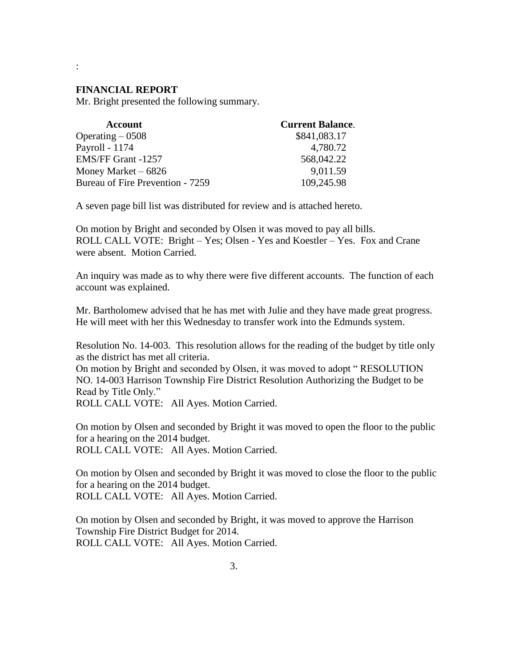#### **FINANCIAL REPORT**

:

Mr. Bright presented the following summary.

| <b>Account</b>                   | <b>Current Balance.</b> |
|----------------------------------|-------------------------|
| Operating $-0508$                | \$841,083.17            |
| Payroll - 1174                   | 4,780.72                |
| EMS/FF Grant -1257               | 568,042.22              |
| Money Market $-6826$             | 9,011.59                |
| Bureau of Fire Prevention - 7259 | 109,245.98              |

A seven page bill list was distributed for review and is attached hereto.

On motion by Bright and seconded by Olsen it was moved to pay all bills. ROLL CALL VOTE: Bright – Yes; Olsen - Yes and Koestler – Yes. Fox and Crane were absent. Motion Carried.

An inquiry was made as to why there were five different accounts. The function of each account was explained.

Mr. Bartholomew advised that he has met with Julie and they have made great progress. He will meet with her this Wednesday to transfer work into the Edmunds system.

Resolution No. 14-003. This resolution allows for the reading of the budget by title only as the district has met all criteria.

On motion by Bright and seconded by Olsen, it was moved to adopt " RESOLUTION NO. 14-003 Harrison Township Fire District Resolution Authorizing the Budget to be Read by Title Only."

ROLL CALL VOTE: All Ayes. Motion Carried.

On motion by Olsen and seconded by Bright it was moved to open the floor to the public for a hearing on the 2014 budget.

ROLL CALL VOTE: All Ayes. Motion Carried.

On motion by Olsen and seconded by Bright it was moved to close the floor to the public for a hearing on the 2014 budget. ROLL CALL VOTE: All Ayes. Motion Carried.

On motion by Olsen and seconded by Bright, it was moved to approve the Harrison Township Fire District Budget for 2014. ROLL CALL VOTE: All Ayes. Motion Carried.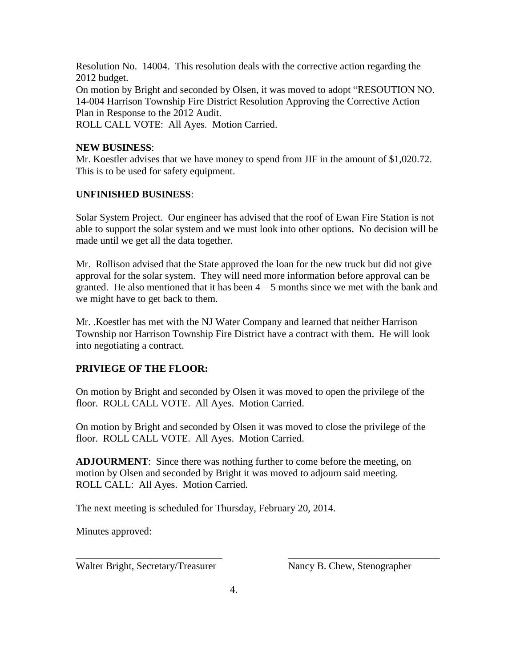Resolution No. 14004. This resolution deals with the corrective action regarding the 2012 budget. On motion by Bright and seconded by Olsen, it was moved to adopt "RESOUTION NO. 14-004 Harrison Township Fire District Resolution Approving the Corrective Action Plan in Response to the 2012 Audit. ROLL CALL VOTE: All Ayes. Motion Carried.

### **NEW BUSINESS**:

Mr. Koestler advises that we have money to spend from JIF in the amount of \$1,020.72. This is to be used for safety equipment.

### **UNFINISHED BUSINESS**:

Solar System Project. Our engineer has advised that the roof of Ewan Fire Station is not able to support the solar system and we must look into other options. No decision will be made until we get all the data together.

Mr. Rollison advised that the State approved the loan for the new truck but did not give approval for the solar system. They will need more information before approval can be granted. He also mentioned that it has been  $4 - 5$  months since we met with the bank and we might have to get back to them.

Mr. .Koestler has met with the NJ Water Company and learned that neither Harrison Township nor Harrison Township Fire District have a contract with them. He will look into negotiating a contract.

## **PRIVIEGE OF THE FLOOR:**

On motion by Bright and seconded by Olsen it was moved to open the privilege of the floor. ROLL CALL VOTE. All Ayes. Motion Carried.

On motion by Bright and seconded by Olsen it was moved to close the privilege of the floor. ROLL CALL VOTE. All Ayes. Motion Carried.

**ADJOURMENT**: Since there was nothing further to come before the meeting, on motion by Olsen and seconded by Bright it was moved to adjourn said meeting. ROLL CALL: All Ayes. Motion Carried.

\_\_\_\_\_\_\_\_\_\_\_\_\_\_\_\_\_\_\_\_\_\_\_\_\_\_\_\_\_ \_\_\_\_\_\_\_\_\_\_\_\_\_\_\_\_\_\_\_\_\_\_\_\_\_\_\_\_\_\_

The next meeting is scheduled for Thursday, February 20, 2014.

Minutes approved:

Walter Bright, Secretary/Treasurer Nancy B. Chew, Stenographer